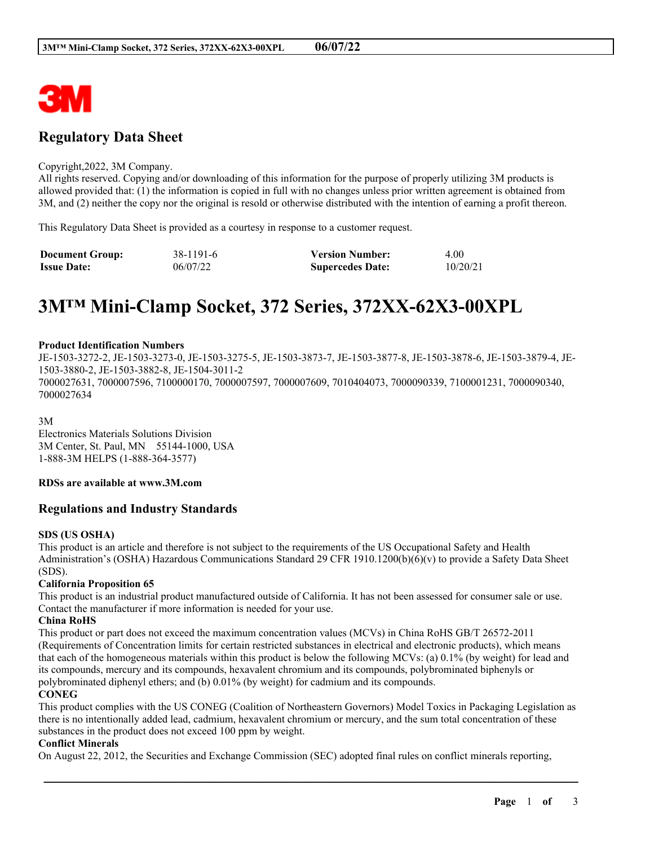

# **Regulatory Data Sheet**

#### Copyright,2022, 3M Company.

All rights reserved. Copying and/or downloading of this information for the purpose of properly utilizing 3M products is allowed provided that: (1) the information is copied in full with no changes unless prior written agreement is obtained from 3M, and (2) neither the copy nor the original is resold or otherwise distributed with the intention of earning a profit thereon.

This Regulatory Data Sheet is provided as a courtesy in response to a customer request.

| <b>Document Group:</b> | 38-1191-6 | <b>Version Number:</b>  | 4.00     |
|------------------------|-----------|-------------------------|----------|
| <b>Issue Date:</b>     | 06/07/22  | <b>Supercedes Date:</b> | 10/20/21 |

# **3M™ Mini-Clamp Socket, 372 Series, 372XX-62X3-00XPL**

#### **Product Identification Numbers**

JE-1503-3272-2, JE-1503-3273-0, JE-1503-3275-5, JE-1503-3873-7, JE-1503-3877-8, JE-1503-3878-6, JE-1503-3879-4, JE-1503-3880-2, JE-1503-3882-8, JE-1504-3011-2 7000027631, 7000007596, 7100000170, 7000007597, 7000007609, 7010404073, 7000090339, 7100001231, 7000090340, 7000027634

#### 3M

Electronics Materials Solutions Division 3M Center, St. Paul, MN 55144-1000, USA 1-888-3M HELPS (1-888-364-3577)

#### **RDSs are available at www.3M.com**

# **Regulations and Industry Standards**

#### **SDS (US OSHA)**

This product is an article and therefore is not subject to the requirements of the US Occupational Safety and Health Administration's (OSHA) Hazardous Communications Standard 29 CFR 1910.1200(b)(6)(v) to provide a Safety Data Sheet (SDS).

#### **California Proposition 65**

This product is an industrial product manufactured outside of California. It has not been assessed for consumer sale or use. Contact the manufacturer if more information is needed for your use.

#### **China RoHS**

This product or part does not exceed the maximum concentration values (MCVs) in China RoHS GB/T 26572-2011 (Requirements of Concentration limits for certain restricted substances in electrical and electronic products), which means that each of the homogeneous materials within this product is below the following MCVs: (a) 0.1% (by weight) for lead and its compounds, mercury and its compounds, hexavalent chromium and its compounds, polybrominated biphenyls or polybrominated diphenyl ethers; and (b) 0.01% (by weight) for cadmium and its compounds.

# **CONEG**

This product complies with the US CONEG (Coalition of Northeastern Governors) Model Toxics in Packaging Legislation as there is no intentionally added lead, cadmium, hexavalent chromium or mercury, and the sum total concentration of these substances in the product does not exceed 100 ppm by weight.

\_\_\_\_\_\_\_\_\_\_\_\_\_\_\_\_\_\_\_\_\_\_\_\_\_\_\_\_\_\_\_\_\_\_\_\_\_\_\_\_\_\_\_\_\_\_\_\_\_\_\_\_\_\_\_\_\_\_\_\_\_\_\_\_\_\_\_\_\_\_\_\_\_\_\_\_\_\_\_\_\_\_\_\_\_\_\_\_\_\_

#### **Conflict Minerals**

On August 22, 2012, the Securities and Exchange Commission (SEC) adopted final rules on conflict minerals reporting,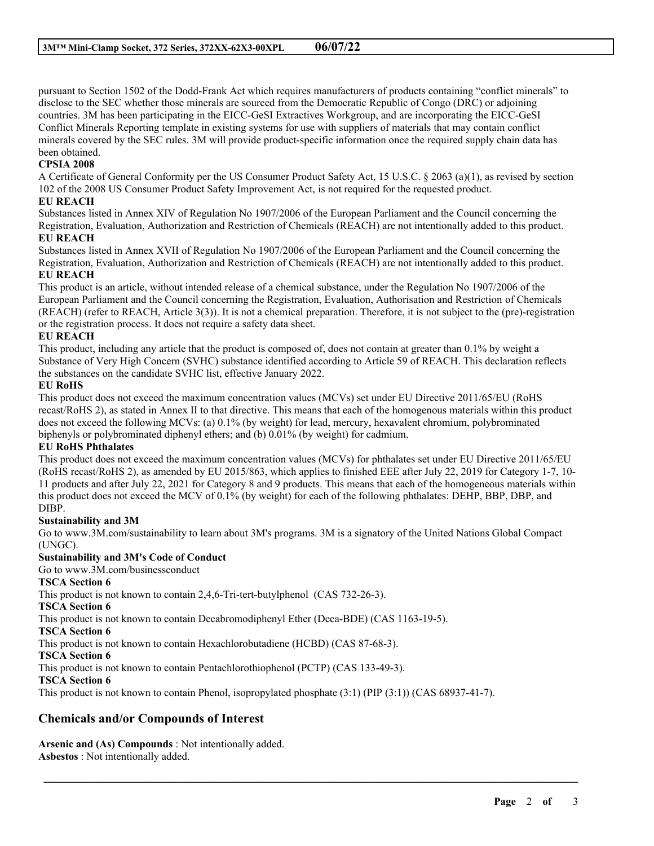pursuant to Section 1502 of the Dodd-Frank Act which requires manufacturers of products containing "conflict minerals" to disclose to the SEC whether those minerals are sourced from the Democratic Republic of Congo (DRC) or adjoining countries. 3M has been participating in the EICC-GeSI Extractives Workgroup, and are incorporating the EICC-GeSI Conflict Minerals Reporting template in existing systems for use with suppliers of materials that may contain conflict minerals covered by the SEC rules. 3M will provide product-specific information once the required supply chain data has been obtained.

# **CPSIA 2008**

A Certificate of General Conformity per the US Consumer Product Safety Act, 15 U.S.C. § 2063 (a)(1), as revised by section 102 of the 2008 US Consumer Product Safety Improvement Act, is not required for the requested product.

# **EU REACH**

Substances listed in Annex XIV of Regulation No 1907/2006 of the European Parliament and the Council concerning the Registration, Evaluation, Authorization and Restriction of Chemicals (REACH) are not intentionally added to this product.

# **EU REACH**

Substances listed in Annex XVII of Regulation No 1907/2006 of the European Parliament and the Council concerning the Registration, Evaluation, Authorization and Restriction of Chemicals (REACH) are not intentionally added to this product. **EU REACH**

This product is an article, without intended release of a chemical substance, under the Regulation No 1907/2006 of the European Parliament and the Council concerning the Registration, Evaluation, Authorisation and Restriction of Chemicals (REACH) (refer to REACH, Article 3(3)). It is not a chemical preparation. Therefore, it is not subject to the (pre)-registration or the registration process. It does not require a safety data sheet.

### **EU REACH**

This product, including any article that the product is composed of, does not contain at greater than 0.1% by weight a Substance of Very High Concern (SVHC) substance identified according to Article 59 of REACH. This declaration reflects the substances on the candidate SVHC list, effective January 2022.

### **EU RoHS**

This product does not exceed the maximum concentration values (MCVs) set under EU Directive 2011/65/EU (RoHS recast/RoHS 2), as stated in Annex II to that directive. This means that each of the homogenous materials within this product does not exceed the following MCVs: (a) 0.1% (by weight) for lead, mercury, hexavalent chromium, polybrominated biphenyls or polybrominated diphenyl ethers; and (b) 0.01% (by weight) for cadmium.

# **EU RoHS Phthalates**

This product does not exceed the maximum concentration values (MCVs) for phthalates set under EU Directive 2011/65/EU (RoHS recast/RoHS 2), as amended by EU 2015/863, which applies to finished EEE after July 22, 2019 for Category 1-7, 10- 11 products and after July 22, 2021 for Category 8 and 9 products. This means that each of the homogeneous materials within this product does not exceed the MCV of 0.1% (by weight) for each of the following phthalates: DEHP, BBP, DBP, and DIBP.

# **Sustainability and 3M**

Go to www.3M.com/sustainability to learn about 3M's programs. 3M is a signatory of the United Nations Global Compact (UNGC).

\_\_\_\_\_\_\_\_\_\_\_\_\_\_\_\_\_\_\_\_\_\_\_\_\_\_\_\_\_\_\_\_\_\_\_\_\_\_\_\_\_\_\_\_\_\_\_\_\_\_\_\_\_\_\_\_\_\_\_\_\_\_\_\_\_\_\_\_\_\_\_\_\_\_\_\_\_\_\_\_\_\_\_\_\_\_\_\_\_\_

# **Sustainability and 3M's Code of Conduct**

Go to www.3M.com/businessconduct

# **TSCA Section 6**

This product is not known to contain 2,4,6-Tri-tert-butylphenol (CAS 732-26-3).

**TSCA Section 6**

This product is not known to contain Decabromodiphenyl Ether (Deca-BDE) (CAS 1163-19-5).

**TSCA Section 6**

This product is not known to contain Hexachlorobutadiene (HCBD) (CAS 87-68-3).

**TSCA Section 6**

This product is not known to contain Pentachlorothiophenol (PCTP) (CAS 133-49-3).

#### **TSCA Section 6**

This product is not known to contain Phenol, isopropylated phosphate (3:1) (PIP (3:1)) (CAS 68937-41-7).

# **Chemicals and/or Compounds of Interest**

**Arsenic and (As) Compounds** : Not intentionally added. **Asbestos** : Not intentionally added.